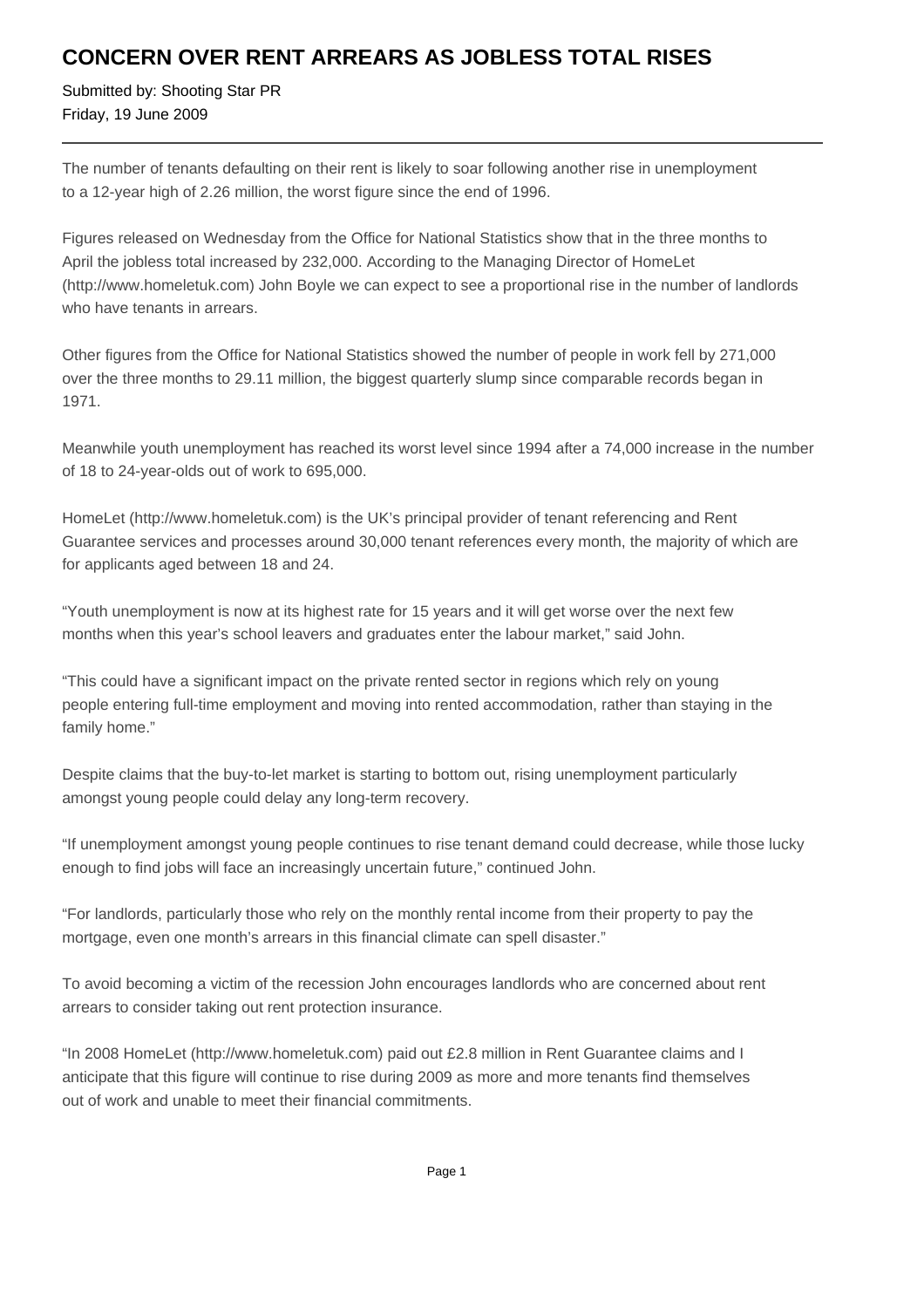## **CONCERN OVER RENT ARREARS AS JOBLESS TOTAL RISES**

Submitted by: Shooting Star PR Friday, 19 June 2009

The number of tenants defaulting on their rent is likely to soar following another rise in unemployment to a 12-year high of 2.26 million, the worst figure since the end of 1996.

Figures released on Wednesday from the Office for National Statistics show that in the three months to April the jobless total increased by 232,000. According to the Managing Director of HomeLet (http://www.homeletuk.com) John Boyle we can expect to see a proportional rise in the number of landlords who have tenants in arrears.

Other figures from the Office for National Statistics showed the number of people in work fell by 271,000 over the three months to 29.11 million, the biggest quarterly slump since comparable records began in 1971.

Meanwhile youth unemployment has reached its worst level since 1994 after a 74,000 increase in the number of 18 to 24-year-olds out of work to 695,000.

HomeLet (http://www.homeletuk.com) is the UK's principal provider of tenant referencing and Rent Guarantee services and processes around 30,000 tenant references every month, the majority of which are for applicants aged between 18 and 24.

"Youth unemployment is now at its highest rate for 15 years and it will get worse over the next few months when this year's school leavers and graduates enter the labour market," said John.

"This could have a significant impact on the private rented sector in regions which rely on young people entering full-time employment and moving into rented accommodation, rather than staying in the family home."

Despite claims that the buy-to-let market is starting to bottom out, rising unemployment particularly amongst young people could delay any long-term recovery.

"If unemployment amongst young people continues to rise tenant demand could decrease, while those lucky enough to find jobs will face an increasingly uncertain future," continued John.

"For landlords, particularly those who rely on the monthly rental income from their property to pay the mortgage, even one month's arrears in this financial climate can spell disaster."

To avoid becoming a victim of the recession John encourages landlords who are concerned about rent arrears to consider taking out rent protection insurance.

"In 2008 HomeLet (http://www.homeletuk.com) paid out £2.8 million in Rent Guarantee claims and I anticipate that this figure will continue to rise during 2009 as more and more tenants find themselves out of work and unable to meet their financial commitments.